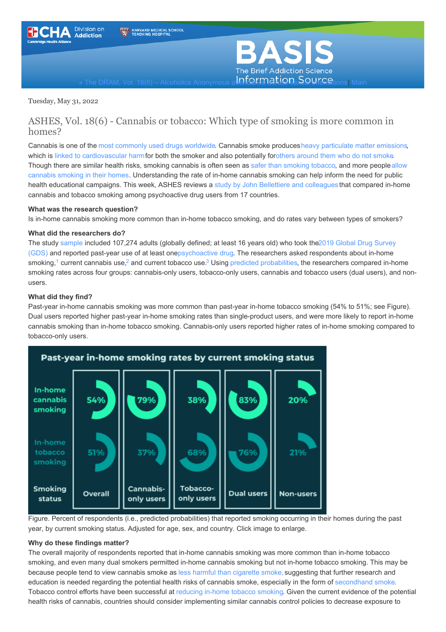<span id="page-0-0"></span>



« The DRAM, Vol. 18(6) – Alcoholics [Anonymous](https://www.basisonline.org/2022/05/alcoholics-anonymous-attendance-across-sexual-orientations.html) a**tterformation. Sexual orientations** 

Tuesday, May 31, 2022

### ASHES, Vol. 18(6) - Cannabis or tobacco: Which type of smoking is more common in homes?

Cannabis is one of the most [commonly](https://www.unodc.org/res/wdr2021/field/WDR21_Booklet_3.pdf) used drugs worldwide. Cannabis smoke producesheavy [particulate](https://www.sciencedirect.com/science/article/pii/S259016212100006X?via%3Dihub) matter emissions, which is linked to [cardiovascular](https://www.tandfonline.com/doi/pdf/10.1080/10473289.2006.10464485?needAccess=true) harmfor both the smoker and also potentially forothers [around](https://jamanetwork.com/journals/jamainternalmedicine/article-abstract/2663848?casa_token=D3cHxWbUPnsAAAAA:fdM0eYq7AAE8jyQzwcI7FQLZPP2KoXatz6nInHf4vdV5E-VLP_cEfHNGR5rqCgdWOFW3NxTyLQ) them who do not smoke. Though there are similar health risks, [smoking](https://agsjournals.onlinelibrary.wiley.com/doi/abs/10.1111/jgs.17213) cannabis is often seen as safer than smoking tobacco, and more peopleallow cannabis smoking in their homes. [Understanding](https://doi.org/10.1093/her/cyu051) the rate of in-home cannabis smoking can help inform the need for public health educational campaigns. This week, ASHES reviews a study by John Bellettiere and [colleagues](https://www.sciencedirect.com/science/article/pii/S0306460321003154) that compared in-home cannabis and tobacco smoking among psychoactive drug users from 17 countries.

#### **What was the research question?**

Is in-home cannabis smoking more common than in-home tobacco smoking, and do rates vary between types of smokers?

#### **What did the researchers do?**

The study [sample](https://www.basisonline.org/basis_glossary.html#sample) included 107,274 adults (globally defined; at least 16 years old) who took the2019 Global Drug Survey (GDS) and reported past-year use of at least [one](https://www.globaldrugsurvey.com/gds-2019/)[psychoactive](https://www.cancer.gov/publications/dictionaries/cancer-terms/def/psychoactive-substance) drug. The researchers asked respondents about in-home smoking,<sup>1</sup> current cannabis use,<sup>2</sup> and current tobacco use.<sup>3</sup> Using predicted [probabilities](https://academic.oup.com/ije/article/43/3/962/763470), the researchers compared in-home smoking rates across four groups: cannabis-only users, tobacco-only users, cannabis and tobacco users (dual users), and nonusers.

#### **What did they find?**

Past-year in-home cannabis smoking was more common than past-year in-home tobacco smoking (54% to 51%; see Figure). Dual users reported higher past-year in-home smoking rates than single-product users, and were more likely to report in-home cannabis smoking than in-home tobacco smoking. Cannabis-only users reported higher rates of in-home smoking compared to tobacco-only users.



Figure. Percent of respondents (i.e., predicted probabilities) that reported smoking occurring in their homes during the past year, by current smoking status. Adjusted for age, sex, and country. Click image to enlarge.

#### **Why do these findings matter?**

The overall majority of respondents reported that in-home cannabis smoking was more common than in-home tobacco smoking, and even many dual smokers permitted in-home cannabis smoking but not in-home tobacco smoking. This may be because people tend to view cannabis smoke as less harmful than [cigarette](https://www.sciencedirect.com/science/article/pii/S0955395920300955?via%3Dihub) smoke, suggesting that further research and education is needed regarding the potential health risks of cannabis smoke, especially in the form of [secondhand](https://www.cdc.gov/marijuana/health-effects/second-hand-smoke.html) smoke. Tobacco control efforts have been successful at [reducing](https://tobaccocontrol.bmj.com/content/26/5/557) in-home tobacco smoking. Given the current evidence of the potential health risks of cannabis, countries should consider implementing similar cannabis control policies to decrease exposure to